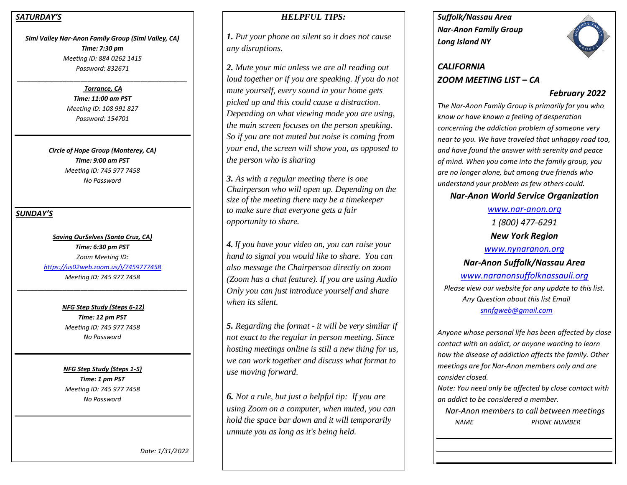### *SATURDAY'S*

*Simi Valley Nar-Anon Family Group (Simi Valley, CA) Time: 7:30 pm Meeting ID: 884 0262 1415 Password: 832671*

#### *\_\_\_\_\_\_\_\_\_\_\_\_\_\_\_\_\_\_\_\_\_\_\_\_\_\_\_\_\_\_\_\_\_\_\_\_\_\_\_\_\_\_\_\_\_\_\_\_ Torrance, CA*

*Time: 11:00 am PST Meeting ID: 108 991 827 Password: 154701*

*Circle of Hope Group (Monterey, CA) Time: 9:00 am PST Meeting ID: 745 977 7458 No Password*

### *SUNDAY'S*

*Saving OurSelves (Santa Cruz, CA) Time: 6:30 pm PST Zoom Meeting ID: <https://us02web.zoom.us/j/7459777458> Meeting ID: 745 977 7458*

*\_\_\_\_\_\_\_\_\_\_\_\_\_\_\_\_\_\_\_\_\_\_\_\_\_\_\_\_\_\_\_\_\_\_\_\_\_\_\_\_\_\_\_\_\_\_\_\_*

*NFG Step Study (Steps 6-12) Time: 12 pm PST Meeting ID: 745 977 7458 No Password*

*NFG Step Study (Steps 1-5) Time: 1 pm PST Meeting ID: 745 977 7458 No Password*

# *HELPFUL TIPS:*

*1. Put your phone on silent so it does not cause any disruptions.*

*2. Mute your mic unless we are all reading out loud together or if you are speaking. If you do not mute yourself, every sound in your home gets picked up and this could cause a distraction. Depending on what viewing mode you are using, the main screen focuses on the person speaking. So if you are not muted but noise is coming from your end, the screen will show you, as opposed to the person who is sharing*

*3. As with a regular meeting there is one Chairperson who will open up. Depending on the size of the meeting there may be a timekeeper to make sure that everyone gets a fair opportunity to share.*

*4. If you have your video on, you can raise your hand to signal you would like to share. You can also message the Chairperson directly on zoom (Zoom has a chat feature). If you are using Audio Only you can just introduce yourself and share when its silent.* 

*5. Regarding the format - it will be very similar if not exact to the regular in person meeting. Since hosting meetings online is still a new thing for us, we can work together and discuss what format to use moving forward.*

*6. Not a rule, but just a helpful tip: If you are using Zoom on a computer, when muted, you can hold the space bar down and it will temporarily unmute you as long as it's being held.* 

*Suffolk/Nassau Area Nar-Anon Family Group Long Island NY* 



# *CALIFORNIA ZOOM MEETING LIST – CA*

# *February 2022*

*The Nar-Anon Family Group is primarily for you who know or have known a feeling of desperation concerning the addiction problem of someone very near to you. We have traveled that unhappy road too, and have found the answer with serenity and peace of mind. When you come into the family group, you are no longer alone, but among true friends who understand your problem as few others could.* 

# *Nar-Anon World Service Organization*

*[www.nar-anon.org](http://www.nar-anon.org/) 1 (800) 477-6291 New York Region [www.nynaranon.org](http://www.nynaranon.org/) Nar-Anon Suffolk/Nassau Area [www.naranonsuffolknassauli.org](http://www.naranonsuffolknassauli.org/) Please view our website for any update to this list. Any Question about this list Email [snnfgweb@gmail.com](mailto:snnfgweb@gmail.com)*

*Anyone whose personal life has been affected by close contact with an addict, or anyone wanting to learn how the disease of addiction affects the family. Other meetings are for Nar-Anon members only and are consider closed.*

*Note: You need only be affected by close contact with an addict to be considered a member.*

 *Nar-Anon members to call between meetings NAME PHONE NUMBER*

 *Date: 1/31/2022*